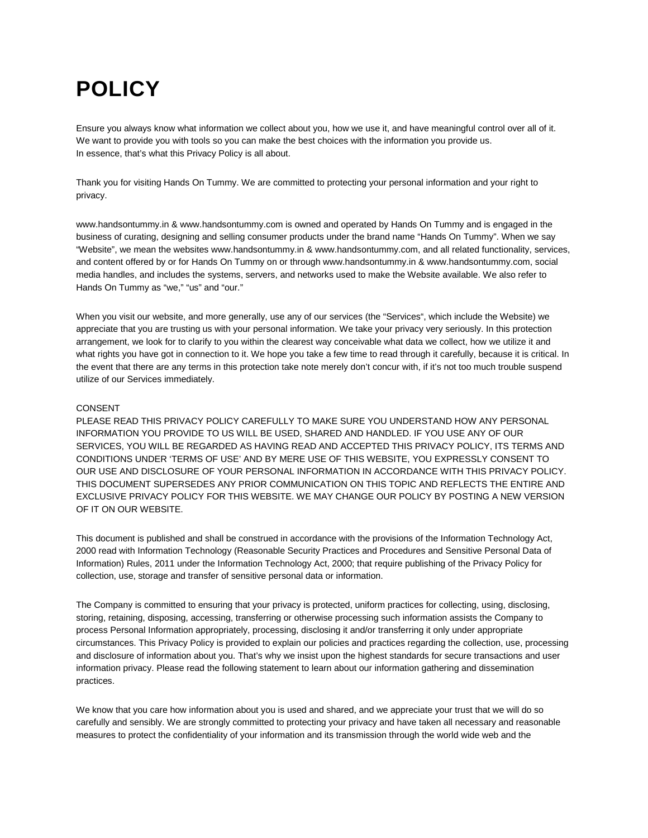# **POLICY**

Ensure you always know what information we collect about you, how we use it, and have meaningful control over all of it. We want to provide you with tools so you can make the best choices with the information you provide us. In essence, that's what this Privacy Policy is all about.

Thank you for visiting Hands On Tummy. We are committed to protecting your personal information and your right to privacy.

www.handsontummy.in & www.handsontummy.com is owned and operated by Hands On Tummy and is engaged in the business of curating, designing and selling consumer products under the brand name "Hands On Tummy". When we say "Website", we mean the websites www.handsontummy.in & www.handsontummy.com, and all related functionality, services, and content offered by or for Hands On Tummy on or through www.handsontummy.in & www.handsontummy.com, social media handles, and includes the systems, servers, and networks used to make the Website available. We also refer to Hands On Tummy as "we," "us" and "our."

When you visit our website, and more generally, use any of our services (the "Services", which include the Website) we appreciate that you are trusting us with your personal information. We take your privacy very seriously. In this protection arrangement, we look for to clarify to you within the clearest way conceivable what data we collect, how we utilize it and what rights you have got in connection to it. We hope you take a few time to read through it carefully, because it is critical. In the event that there are any terms in this protection take note merely don't concur with, if it's not too much trouble suspend utilize of our Services immediately.

#### CONSENT

PLEASE READ THIS PRIVACY POLICY CAREFULLY TO MAKE SURE YOU UNDERSTAND HOW ANY PERSONAL INFORMATION YOU PROVIDE TO US WILL BE USED, SHARED AND HANDLED. IF YOU USE ANY OF OUR SERVICES, YOU WILL BE REGARDED AS HAVING READ AND ACCEPTED THIS PRIVACY POLICY, ITS TERMS AND CONDITIONS UNDER 'TERMS OF USE' AND BY MERE USE OF THIS WEBSITE, YOU EXPRESSLY CONSENT TO OUR USE AND DISCLOSURE OF YOUR PERSONAL INFORMATION IN ACCORDANCE WITH THIS PRIVACY POLICY. THIS DOCUMENT SUPERSEDES ANY PRIOR COMMUNICATION ON THIS TOPIC AND REFLECTS THE ENTIRE AND EXCLUSIVE PRIVACY POLICY FOR THIS WEBSITE. WE MAY CHANGE OUR POLICY BY POSTING A NEW VERSION OF IT ON OUR WEBSITE.

This document is published and shall be construed in accordance with the provisions of the Information Technology Act, 2000 read with Information Technology (Reasonable Security Practices and Procedures and Sensitive Personal Data of Information) Rules, 2011 under the Information Technology Act, 2000; that require publishing of the Privacy Policy for collection, use, storage and transfer of sensitive personal data or information.

The Company is committed to ensuring that your privacy is protected, uniform practices for collecting, using, disclosing, storing, retaining, disposing, accessing, transferring or otherwise processing such information assists the Company to process Personal Information appropriately, processing, disclosing it and/or transferring it only under appropriate circumstances. This Privacy Policy is provided to explain our policies and practices regarding the collection, use, processing and disclosure of information about you. That's why we insist upon the highest standards for secure transactions and user information privacy. Please read the following statement to learn about our information gathering and dissemination practices.

We know that you care how information about you is used and shared, and we appreciate your trust that we will do so carefully and sensibly. We are strongly committed to protecting your privacy and have taken all necessary and reasonable measures to protect the confidentiality of your information and its transmission through the world wide web and the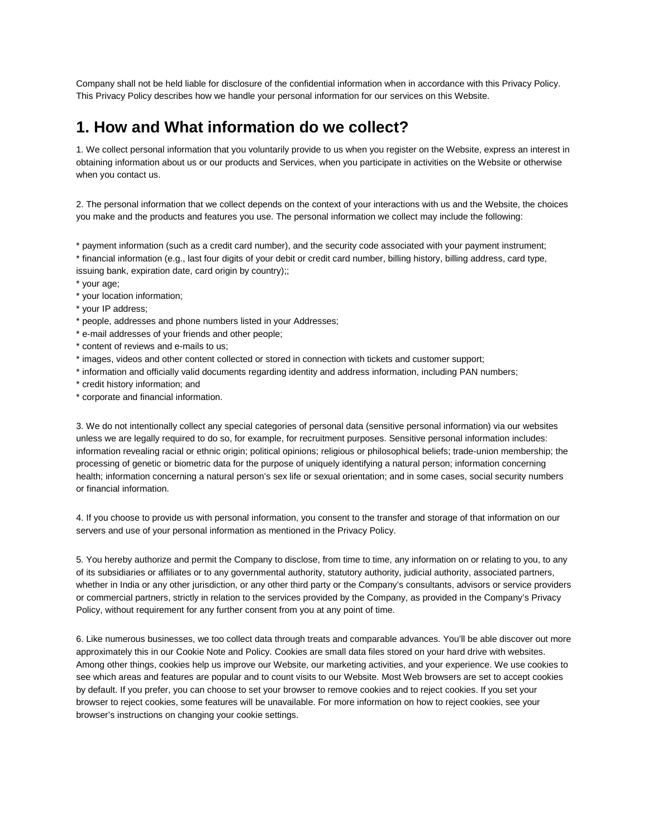Company shall not be held liable for disclosure of the confidential information when in accordance with this Privacy Policy. This Privacy Policy describes how we handle your personal information for our services on this Website.

#### **1. How and What information do we collect?**

1. We collect personal information that you voluntarily provide to us when you register on the Website, express an interest in obtaining information about us or our products and Services, when you participate in activities on the Website or otherwise when you contact us.

2. The personal information that we collect depends on the context of your interactions with us and the Website, the choices you make and the products and features you use. The personal information we collect may include the following:

\* payment information (such as a credit card number), and the security code associated with your payment instrument; \* financial information (e.g., last four digits of your debit or credit card number, billing history, billing address, card type, issuing bank, expiration date, card origin by country);;

- \* your age;
- \* your location information;
- \* your IP address;
- \* people, addresses and phone numbers listed in your Addresses;
- \* e-mail addresses of your friends and other people;
- \* content of reviews and e-mails to us;
- \* images, videos and other content collected or stored in connection with tickets and customer support;
- \* information and officially valid documents regarding identity and address information, including PAN numbers;
- \* credit history information; and
- \* corporate and financial information.

3. We do not intentionally collect any special categories of personal data (sensitive personal information) via our websites unless we are legally required to do so, for example, for recruitment purposes. Sensitive personal information includes: information revealing racial or ethnic origin; political opinions; religious or philosophical beliefs; trade-union membership; the processing of genetic or biometric data for the purpose of uniquely identifying a natural person; information concerning health; information concerning a natural person's sex life or sexual orientation; and in some cases, social security numbers or financial information.

4. If you choose to provide us with personal information, you consent to the transfer and storage of that information on our servers and use of your personal information as mentioned in the Privacy Policy.

5. You hereby authorize and permit the Company to disclose, from time to time, any information on or relating to you, to any of its subsidiaries or affiliates or to any governmental authority, statutory authority, judicial authority, associated partners, whether in India or any other jurisdiction, or any other third party or the Company's consultants, advisors or service providers or commercial partners, strictly in relation to the services provided by the Company, as provided in the Company's Privacy Policy, without requirement for any further consent from you at any point of time.

6. Like numerous businesses, we too collect data through treats and comparable advances. You'll be able discover out more approximately this in our Cookie Note and Policy. Cookies are small data files stored on your hard drive with websites. Among other things, cookies help us improve our Website, our marketing activities, and your experience. We use cookies to see which areas and features are popular and to count visits to our Website. Most Web browsers are set to accept cookies by default. If you prefer, you can choose to set your browser to remove cookies and to reject cookies. If you set your browser to reject cookies, some features will be unavailable. For more information on how to reject cookies, see your browser's instructions on changing your cookie settings.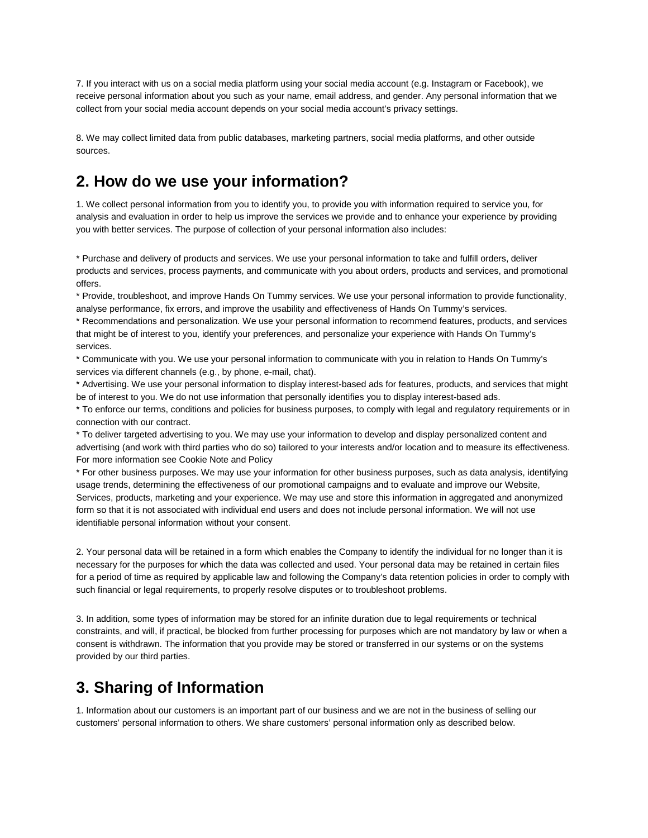7. If you interact with us on a social media platform using your social media account (e.g. Instagram or Facebook), we receive personal information about you such as your name, email address, and gender. Any personal information that we collect from your social media account depends on your social media account's privacy settings.

8. We may collect limited data from public databases, marketing partners, social media platforms, and other outside sources.

#### **2. How do we use your information?**

1. We collect personal information from you to identify you, to provide you with information required to service you, for analysis and evaluation in order to help us improve the services we provide and to enhance your experience by providing you with better services. The purpose of collection of your personal information also includes:

\* Purchase and delivery of products and services. We use your personal information to take and fulfill orders, deliver products and services, process payments, and communicate with you about orders, products and services, and promotional offers.

\* Provide, troubleshoot, and improve Hands On Tummy services. We use your personal information to provide functionality, analyse performance, fix errors, and improve the usability and effectiveness of Hands On Tummy's services.

\* Recommendations and personalization. We use your personal information to recommend features, products, and services that might be of interest to you, identify your preferences, and personalize your experience with Hands On Tummy's services.

\* Communicate with you. We use your personal information to communicate with you in relation to Hands On Tummy's services via different channels (e.g., by phone, e-mail, chat).

\* Advertising. We use your personal information to display interest-based ads for features, products, and services that might be of interest to you. We do not use information that personally identifies you to display interest-based ads.

\* To enforce our terms, conditions and policies for business purposes, to comply with legal and regulatory requirements or in connection with our contract.

\* To deliver targeted advertising to you. We may use your information to develop and display personalized content and advertising (and work with third parties who do so) tailored to your interests and/or location and to measure its effectiveness. For more information see Cookie Note and Policy

\* For other business purposes. We may use your information for other business purposes, such as data analysis, identifying usage trends, determining the effectiveness of our promotional campaigns and to evaluate and improve our Website, Services, products, marketing and your experience. We may use and store this information in aggregated and anonymized form so that it is not associated with individual end users and does not include personal information. We will not use identifiable personal information without your consent.

2. Your personal data will be retained in a form which enables the Company to identify the individual for no longer than it is necessary for the purposes for which the data was collected and used. Your personal data may be retained in certain files for a period of time as required by applicable law and following the Company's data retention policies in order to comply with such financial or legal requirements, to properly resolve disputes or to troubleshoot problems.

3. In addition, some types of information may be stored for an infinite duration due to legal requirements or technical constraints, and will, if practical, be blocked from further processing for purposes which are not mandatory by law or when a consent is withdrawn. The information that you provide may be stored or transferred in our systems or on the systems provided by our third parties.

#### **3. Sharing of Information**

1. Information about our customers is an important part of our business and we are not in the business of selling our customers' personal information to others. We share customers' personal information only as described below.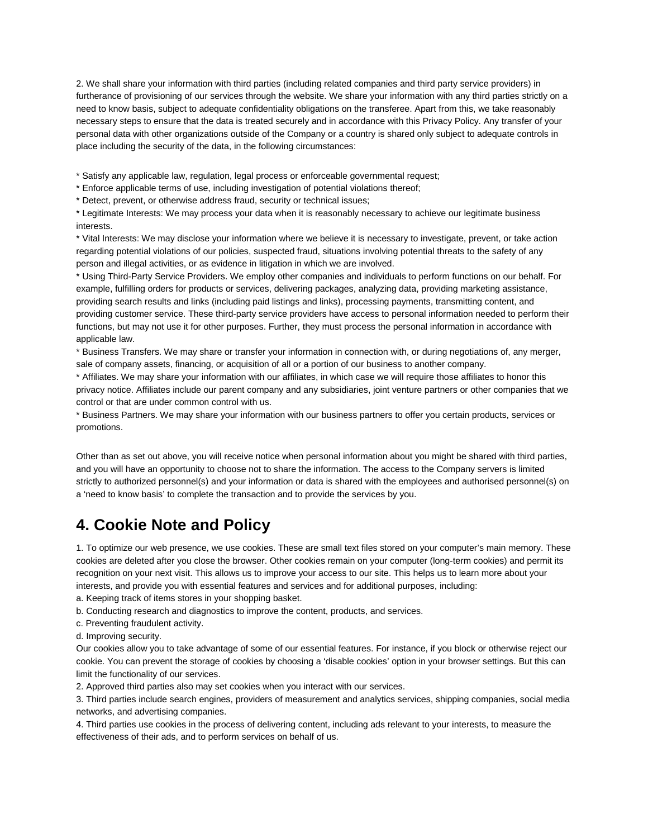2. We shall share your information with third parties (including related companies and third party service providers) in furtherance of provisioning of our services through the website. We share your information with any third parties strictly on a need to know basis, subject to adequate confidentiality obligations on the transferee. Apart from this, we take reasonably necessary steps to ensure that the data is treated securely and in accordance with this Privacy Policy. Any transfer of your personal data with other organizations outside of the Company or a country is shared only subject to adequate controls in place including the security of the data, in the following circumstances:

\* Satisfy any applicable law, regulation, legal process or enforceable governmental request;

\* Enforce applicable terms of use, including investigation of potential violations thereof;

\* Detect, prevent, or otherwise address fraud, security or technical issues;

\* Legitimate Interests: We may process your data when it is reasonably necessary to achieve our legitimate business interests.

\* Vital Interests: We may disclose your information where we believe it is necessary to investigate, prevent, or take action regarding potential violations of our policies, suspected fraud, situations involving potential threats to the safety of any person and illegal activities, or as evidence in litigation in which we are involved.

\* Using Third-Party Service Providers. We employ other companies and individuals to perform functions on our behalf. For example, fulfilling orders for products or services, delivering packages, analyzing data, providing marketing assistance, providing search results and links (including paid listings and links), processing payments, transmitting content, and providing customer service. These third-party service providers have access to personal information needed to perform their functions, but may not use it for other purposes. Further, they must process the personal information in accordance with applicable law.

\* Business Transfers. We may share or transfer your information in connection with, or during negotiations of, any merger, sale of company assets, financing, or acquisition of all or a portion of our business to another company.

\* Affiliates. We may share your information with our affiliates, in which case we will require those affiliates to honor this privacy notice. Affiliates include our parent company and any subsidiaries, joint venture partners or other companies that we control or that are under common control with us.

\* Business Partners. We may share your information with our business partners to offer you certain products, services or promotions.

Other than as set out above, you will receive notice when personal information about you might be shared with third parties, and you will have an opportunity to choose not to share the information. The access to the Company servers is limited strictly to authorized personnel(s) and your information or data is shared with the employees and authorised personnel(s) on a 'need to know basis' to complete the transaction and to provide the services by you.

#### **4. Cookie Note and Policy**

1. To optimize our web presence, we use cookies. These are small text files stored on your computer's main memory. These cookies are deleted after you close the browser. Other cookies remain on your computer (long-term cookies) and permit its recognition on your next visit. This allows us to improve your access to our site. This helps us to learn more about your interests, and provide you with essential features and services and for additional purposes, including:

a. Keeping track of items stores in your shopping basket.

b. Conducting research and diagnostics to improve the content, products, and services.

c. Preventing fraudulent activity.

d. Improving security.

Our cookies allow you to take advantage of some of our essential features. For instance, if you block or otherwise reject our cookie. You can prevent the storage of cookies by choosing a 'disable cookies' option in your browser settings. But this can limit the functionality of our services.

2. Approved third parties also may set cookies when you interact with our services.

3. Third parties include search engines, providers of measurement and analytics services, shipping companies, social media networks, and advertising companies.

4. Third parties use cookies in the process of delivering content, including ads relevant to your interests, to measure the effectiveness of their ads, and to perform services on behalf of us.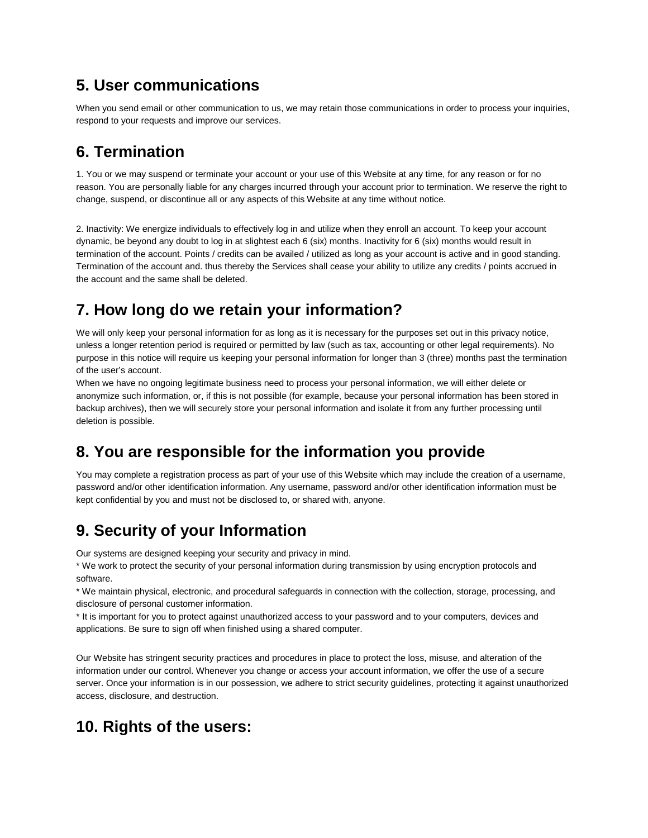# **5. User communications**

When you send email or other communication to us, we may retain those communications in order to process your inquiries, respond to your requests and improve our services.

# **6. Termination**

1. You or we may suspend or terminate your account or your use of this Website at any time, for any reason or for no reason. You are personally liable for any charges incurred through your account prior to termination. We reserve the right to change, suspend, or discontinue all or any aspects of this Website at any time without notice.

2. Inactivity: We energize individuals to effectively log in and utilize when they enroll an account. To keep your account dynamic, be beyond any doubt to log in at slightest each 6 (six) months. Inactivity for 6 (six) months would result in termination of the account. Points / credits can be availed / utilized as long as your account is active and in good standing. Termination of the account and. thus thereby the Services shall cease your ability to utilize any credits / points accrued in the account and the same shall be deleted.

# **7. How long do we retain your information?**

We will only keep your personal information for as long as it is necessary for the purposes set out in this privacy notice, unless a longer retention period is required or permitted by law (such as tax, accounting or other legal requirements). No purpose in this notice will require us keeping your personal information for longer than 3 (three) months past the termination of the user's account.

When we have no ongoing legitimate business need to process your personal information, we will either delete or anonymize such information, or, if this is not possible (for example, because your personal information has been stored in backup archives), then we will securely store your personal information and isolate it from any further processing until deletion is possible.

# **8. You are responsible for the information you provide**

You may complete a registration process as part of your use of this Website which may include the creation of a username, password and/or other identification information. Any username, password and/or other identification information must be kept confidential by you and must not be disclosed to, or shared with, anyone.

# **9. Security of your Information**

Our systems are designed keeping your security and privacy in mind.

\* We work to protect the security of your personal information during transmission by using encryption protocols and software.

\* We maintain physical, electronic, and procedural safeguards in connection with the collection, storage, processing, and disclosure of personal customer information.

\* It is important for you to protect against unauthorized access to your password and to your computers, devices and applications. Be sure to sign off when finished using a shared computer.

Our Website has stringent security practices and procedures in place to protect the loss, misuse, and alteration of the information under our control. Whenever you change or access your account information, we offer the use of a secure server. Once your information is in our possession, we adhere to strict security guidelines, protecting it against unauthorized access, disclosure, and destruction.

# **10. Rights of the users:**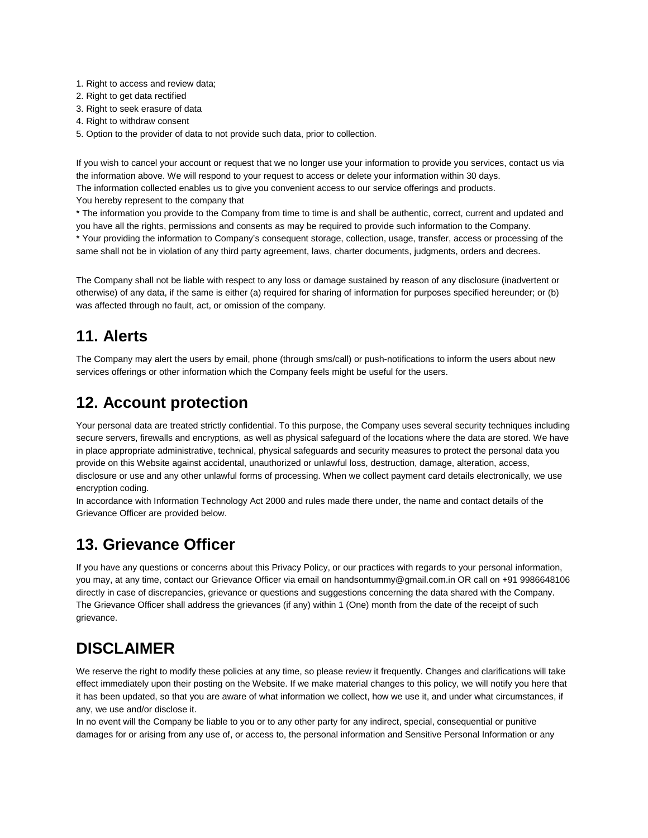- 1. Right to access and review data;
- 2. Right to get data rectified
- 3. Right to seek erasure of data
- 4. Right to withdraw consent
- 5. Option to the provider of data to not provide such data, prior to collection.

If you wish to cancel your account or request that we no longer use your information to provide you services, contact us via the information above. We will respond to your request to access or delete your information within 30 days. The information collected enables us to give you convenient access to our service offerings and products.

You hereby represent to the company that

\* The information you provide to the Company from time to time is and shall be authentic, correct, current and updated and you have all the rights, permissions and consents as may be required to provide such information to the Company. \* Your providing the information to Company's consequent storage, collection, usage, transfer, access or processing of the same shall not be in violation of any third party agreement, laws, charter documents, judgments, orders and decrees.

The Company shall not be liable with respect to any loss or damage sustained by reason of any disclosure (inadvertent or otherwise) of any data, if the same is either (a) required for sharing of information for purposes specified hereunder; or (b) was affected through no fault, act, or omission of the company.

# **11. Alerts**

The Company may alert the users by email, phone (through sms/call) or push-notifications to inform the users about new services offerings or other information which the Company feels might be useful for the users.

# **12. Account protection**

Your personal data are treated strictly confidential. To this purpose, the Company uses several security techniques including secure servers, firewalls and encryptions, as well as physical safeguard of the locations where the data are stored. We have in place appropriate administrative, technical, physical safeguards and security measures to protect the personal data you provide on this Website against accidental, unauthorized or unlawful loss, destruction, damage, alteration, access, disclosure or use and any other unlawful forms of processing. When we collect payment card details electronically, we use encryption coding.

In accordance with Information Technology Act 2000 and rules made there under, the name and contact details of the Grievance Officer are provided below.

#### **13. Grievance Officer**

If you have any questions or concerns about this Privacy Policy, or our practices with regards to your personal information, you may, at any time, contact our Grievance Officer via email on handsontummy@gmail.com.in OR call on +91 9986648106 directly in case of discrepancies, grievance or questions and suggestions concerning the data shared with the Company. The Grievance Officer shall address the grievances (if any) within 1 (One) month from the date of the receipt of such grievance.

#### **DISCLAIMER**

We reserve the right to modify these policies at any time, so please review it frequently. Changes and clarifications will take effect immediately upon their posting on the Website. If we make material changes to this policy, we will notify you here that it has been updated, so that you are aware of what information we collect, how we use it, and under what circumstances, if any, we use and/or disclose it.

In no event will the Company be liable to you or to any other party for any indirect, special, consequential or punitive damages for or arising from any use of, or access to, the personal information and Sensitive Personal Information or any